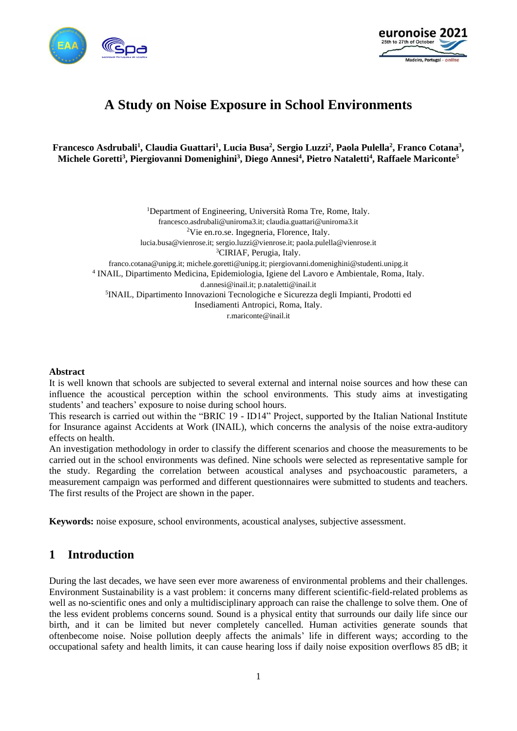



# **A Study on Noise Exposure in School Environments**

**Francesco Asdrubali<sup>1</sup> , Claudia Guattari<sup>1</sup> , Lucia Busa<sup>2</sup> , Sergio Luzzi<sup>2</sup> , Paola Pulella<sup>2</sup> , Franco Cotana<sup>3</sup> , Michele Goretti<sup>3</sup> , Piergiovanni Domenighini<sup>3</sup> , Diego Annesi<sup>4</sup> , Pietro Nataletti<sup>4</sup> , Raffaele Mariconte<sup>5</sup>**

<sup>1</sup>Department of Engineering, Università Roma Tre, Rome, Italy. francesco.asdrubali@uniroma3.it; claudia.guattari@uniroma3.it <sup>2</sup>Vie en.ro.se. Ingegneria, Florence, Italy. lucia.busa@vienrose.it; sergio.luzzi@vienrose.it; paola.pulella@vienrose.it <sup>3</sup>CIRIAF, Perugia, Italy. franco.cotana@unipg.it; michele.goretti@unipg.it; piergiovanni.domenighini@studenti.unipg.it 4 INAIL, Dipartimento Medicina, Epidemiologia, Igiene del Lavoro e Ambientale, Roma, Italy. d.annesi@inail.it; p.nataletti@inail.it 5 INAIL, Dipartimento Innovazioni Tecnologiche e Sicurezza degli Impianti, Prodotti ed Insediamenti Antropici, Roma, Italy. r.mariconte@inail.it

#### **Abstract**

It is well known that schools are subjected to several external and internal noise sources and how these can influence the acoustical perception within the school environments. This study aims at investigating students' and teachers' exposure to noise during school hours.

This research is carried out within the "BRIC 19 - ID14" Project, supported by the Italian National Institute for Insurance against Accidents at Work (INAIL), which concerns the analysis of the noise extra-auditory effects on health.

An investigation methodology in order to classify the different scenarios and choose the measurements to be carried out in the school environments was defined. Nine schools were selected as representative sample for the study. Regarding the correlation between acoustical analyses and psychoacoustic parameters, a measurement campaign was performed and different questionnaires were submitted to students and teachers. The first results of the Project are shown in the paper.

**Keywords:** noise exposure, school environments, acoustical analyses, subjective assessment.

## **1 Introduction**

During the last decades, we have seen ever more awareness of environmental problems and their challenges. Environment Sustainability is a vast problem: it concerns many different scientific-field-related problems as well as no-scientific ones and only a multidisciplinary approach can raise the challenge to solve them. One of the less evident problems concerns sound. Sound is a physical entity that surrounds our daily life since our birth, and it can be limited but never completely cancelled. Human activities generate sounds that oftenbecome noise. Noise pollution deeply affects the animals' life in different ways; according to the occupational safety and health limits, it can cause hearing loss if daily noise exposition overflows 85 dB; it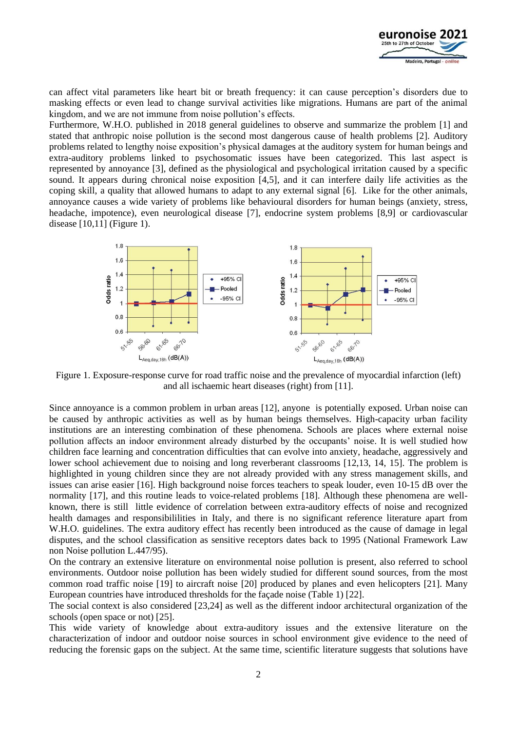

can affect vital parameters like heart bit or breath frequency: it can cause perception's disorders due to masking effects or even lead to change survival activities like migrations. Humans are part of the animal kingdom, and we are not immune from noise pollution's effects.

Furthermore, W.H.O. published in 2018 general guidelines to observe and summarize the problem [1] and stated that anthropic noise pollution is the second most dangerous cause of health problems [2]. Auditory problems related to lengthy noise exposition's physical damages at the auditory system for human beings and extra-auditory problems linked to psychosomatic issues have been categorized. This last aspect is represented by annoyance [3], defined as the physiological and psychological irritation caused by a specific sound. It appears during chronical noise exposition [4,5], and it can interfere daily life activities as the coping skill, a quality that allowed humans to adapt to any external signal [6]. Like for the other animals, annoyance causes a wide variety of problems like behavioural disorders for human beings (anxiety, stress, headache, impotence), even neurological disease [7], endocrine system problems [8,9] or cardiovascular disease [10,11] (Figure 1).



Figure 1. Exposure-response curve for road traffic noise and the prevalence of myocardial infarction (left) and all ischaemic heart diseases (right) from [11].

Since annoyance is a common problem in urban areas [12], anyone is potentially exposed. Urban noise can be caused by anthropic activities as well as by human beings themselves. High-capacity urban facility institutions are an interesting combination of these phenomena. Schools are places where external noise pollution affects an indoor environment already disturbed by the occupants' noise. It is well studied how children face learning and concentration difficulties that can evolve into anxiety, headache, aggressively and lower school achievement due to noising and long reverberant classrooms [12,13, 14, 15]. The problem is highlighted in young children since they are not already provided with any stress management skills, and issues can arise easier [16]. High background noise forces teachers to speak louder, even 10-15 dB over the normality [17], and this routine leads to voice-related problems [18]. Although these phenomena are wellknown, there is still little evidence of correlation between extra-auditory effects of noise and recognized health damages and responsibililities in Italy, and there is no significant reference literature apart from W.H.O. guidelines. The extra auditory effect has recently been introduced as the cause of damage in legal disputes, and the school classification as sensitive receptors dates back to 1995 (National Framework Law non Noise pollution L.447/95).

On the contrary an extensive literature on environmental noise pollution is present, also referred to school environments. Outdoor noise pollution has been widely studied for different sound sources, from the most common road traffic noise [19] to aircraft noise [20] produced by planes and even helicopters [21]. Many European countries have introduced thresholds for the façade noise (Table 1) [22].

The social context is also considered [23,24] as well as the different indoor architectural organization of the schools (open space or not) [25].

This wide variety of knowledge about extra-auditory issues and the extensive literature on the characterization of indoor and outdoor noise sources in school environment give evidence to the need of reducing the forensic gaps on the subject. At the same time, scientific literature suggests that solutions have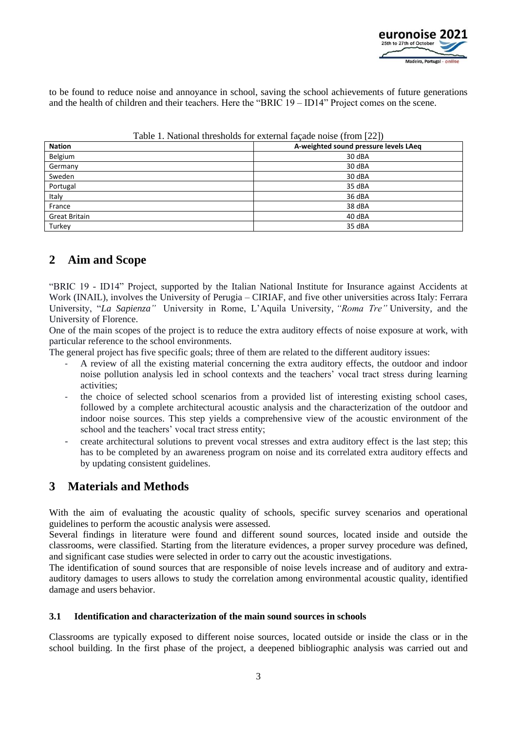

to be found to reduce noise and annoyance in school, saving the school achievements of future generations and the health of children and their teachers. Here the "BRIC 19 – ID14" Project comes on the scene.

| <b>Nation</b>        | A-weighted sound pressure levels LAeq |
|----------------------|---------------------------------------|
| Belgium              | 30 dBA                                |
| Germany              | 30 dBA                                |
| Sweden               | 30 dBA                                |
| Portugal             | 35 dBA                                |
| Italy                | 36 dBA                                |
| France               | 38 dBA                                |
| <b>Great Britain</b> | 40 dBA                                |
| Turkey               | 35 dBA                                |

Table 1. National thresholds for external façade noise (from [22])

## **2 Aim and Scope**

"BRIC 19 - ID14" Project, supported by the Italian National Institute for Insurance against Accidents at Work (INAIL), involves the University of Perugia – CIRIAF, and five other universities across Italy: Ferrara University, "*La Sapienza"* University in Rome, L'Aquila University, *"Roma Tre"* University, and the University of Florence.

One of the main scopes of the project is to reduce the extra auditory effects of noise exposure at work, with particular reference to the school environments.

The general project has five specific goals; three of them are related to the different auditory issues:

- A review of all the existing material concerning the extra auditory effects, the outdoor and indoor noise pollution analysis led in school contexts and the teachers' vocal tract stress during learning activities;
- the choice of selected school scenarios from a provided list of interesting existing school cases, followed by a complete architectural acoustic analysis and the characterization of the outdoor and indoor noise sources. This step yields a comprehensive view of the acoustic environment of the school and the teachers' vocal tract stress entity;
- create architectural solutions to prevent vocal stresses and extra auditory effect is the last step; this has to be completed by an awareness program on noise and its correlated extra auditory effects and by updating consistent guidelines.

## **3 Materials and Methods**

With the aim of evaluating the acoustic quality of schools, specific survey scenarios and operational guidelines to perform the acoustic analysis were assessed.

Several findings in literature were found and different sound sources, located inside and outside the classrooms, were classified. Starting from the literature evidences, a proper survey procedure was defined, and significant case studies were selected in order to carry out the acoustic investigations.

The identification of sound sources that are responsible of noise levels increase and of auditory and extraauditory damages to users allows to study the correlation among environmental acoustic quality, identified damage and users behavior.

### **3.1 Identification and characterization of the main sound sources in schools**

Classrooms are typically exposed to different noise sources, located outside or inside the class or in the school building. In the first phase of the project, a deepened bibliographic analysis was carried out and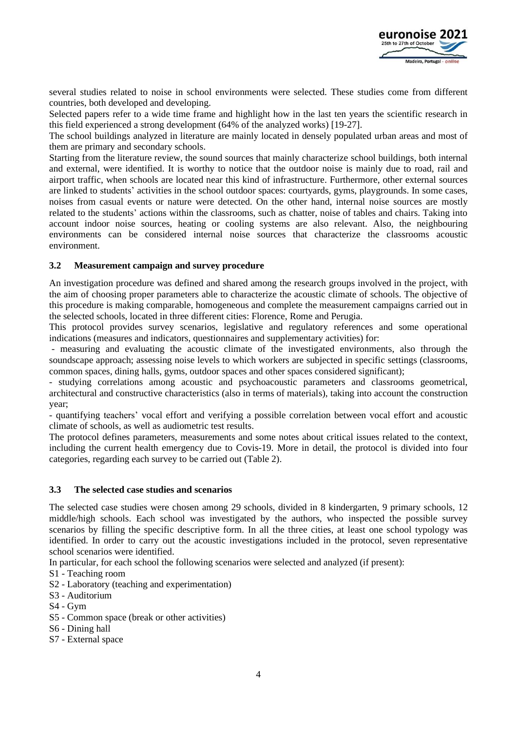

several studies related to noise in school environments were selected. These studies come from different countries, both developed and developing.

Selected papers refer to a wide time frame and highlight how in the last ten years the scientific research in this field experienced a strong development (64% of the analyzed works) [19-27].

The school buildings analyzed in literature are mainly located in densely populated urban areas and most of them are primary and secondary schools.

Starting from the literature review, the sound sources that mainly characterize school buildings, both internal and external, were identified. It is worthy to notice that the outdoor noise is mainly due to road, rail and airport traffic, when schools are located near this kind of infrastructure. Furthermore, other external sources are linked to students' activities in the school outdoor spaces: courtyards, gyms, playgrounds. In some cases, noises from casual events or nature were detected. On the other hand, internal noise sources are mostly related to the students' actions within the classrooms, such as chatter, noise of tables and chairs. Taking into account indoor noise sources, heating or cooling systems are also relevant. Also, the neighbouring environments can be considered internal noise sources that characterize the classrooms acoustic environment.

### **3.2 Measurement campaign and survey procedure**

An investigation procedure was defined and shared among the research groups involved in the project, with the aim of choosing proper parameters able to characterize the acoustic climate of schools. The objective of this procedure is making comparable, homogeneous and complete the measurement campaigns carried out in the selected schools, located in three different cities: Florence, Rome and Perugia.

This protocol provides survey scenarios, legislative and regulatory references and some operational indications (measures and indicators, questionnaires and supplementary activities) for:

- measuring and evaluating the acoustic climate of the investigated environments, also through the soundscape approach; assessing noise levels to which workers are subjected in specific settings (classrooms, common spaces, dining halls, gyms, outdoor spaces and other spaces considered significant);

- studying correlations among acoustic and psychoacoustic parameters and classrooms geometrical, architectural and constructive characteristics (also in terms of materials), taking into account the construction year;

- quantifying teachers' vocal effort and verifying a possible correlation between vocal effort and acoustic climate of schools, as well as audiometric test results.

The protocol defines parameters, measurements and some notes about critical issues related to the context, including the current health emergency due to Covis-19. More in detail, the protocol is divided into four categories, regarding each survey to be carried out (Table 2).

#### **3.3 The selected case studies and scenarios**

The selected case studies were chosen among 29 schools, divided in 8 kindergarten, 9 primary schools, 12 middle/high schools. Each school was investigated by the authors, who inspected the possible survey scenarios by filling the specific descriptive form. In all the three cities, at least one school typology was identified. In order to carry out the acoustic investigations included in the protocol, seven representative school scenarios were identified.

In particular, for each school the following scenarios were selected and analyzed (if present):

S1 - Teaching room

- S2 Laboratory (teaching and experimentation)
- S3 Auditorium
- S4 Gym
- S5 Common space (break or other activities)
- S6 Dining hall
- S7 External space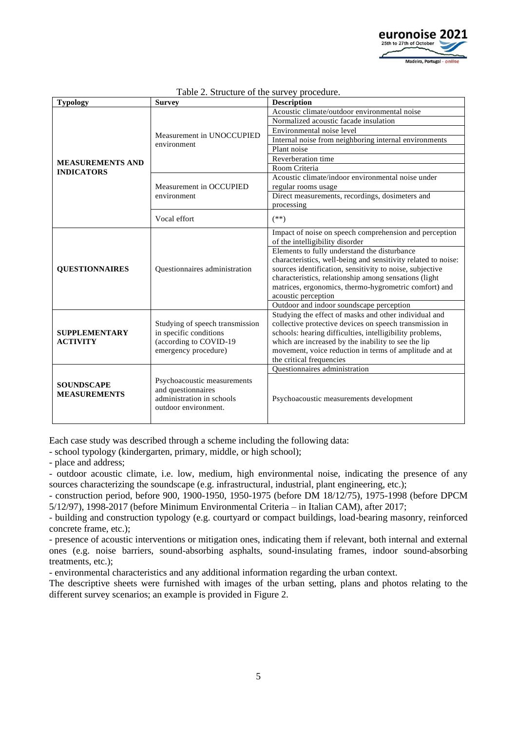

| <b>Typology</b>                          | <b>Survey</b>                                   | <b>Description</b>                                               |
|------------------------------------------|-------------------------------------------------|------------------------------------------------------------------|
|                                          | Measurement in UNOCCUPIED<br>environment        | Acoustic climate/outdoor environmental noise                     |
|                                          |                                                 | Normalized acoustic facade insulation                            |
|                                          |                                                 | Environmental noise level                                        |
|                                          |                                                 | Internal noise from neighboring internal environments            |
|                                          |                                                 | Plant noise                                                      |
| <b>MEASUREMENTS AND</b>                  |                                                 | Reverberation time                                               |
| <b>INDICATORS</b>                        |                                                 | Room Criteria                                                    |
|                                          | Measurement in OCCUPIED<br>environment          | Acoustic climate/indoor environmental noise under                |
|                                          |                                                 | regular rooms usage                                              |
|                                          |                                                 | Direct measurements, recordings, dosimeters and                  |
|                                          |                                                 | processing                                                       |
|                                          | Vocal effort                                    | $(**)$                                                           |
|                                          |                                                 | Impact of noise on speech comprehension and perception           |
|                                          |                                                 | of the intelligibility disorder                                  |
|                                          |                                                 | Elements to fully understand the disturbance                     |
|                                          |                                                 | characteristics, well-being and sensitivity related to noise:    |
| <b>OUESTIONNAIRES</b>                    | <b>Ouestionnaires</b> administration            | sources identification, sensitivity to noise, subjective         |
|                                          |                                                 | characteristics, relationship among sensations (light            |
|                                          |                                                 | matrices, ergonomics, thermo-hygrometric comfort) and            |
|                                          |                                                 | acoustic perception                                              |
|                                          |                                                 | Outdoor and indoor soundscape perception                         |
|                                          |                                                 | Studying the effect of masks and other individual and            |
| <b>SUPPLEMENTARY</b>                     | Studying of speech transmission                 | collective protective devices on speech transmission in          |
|                                          | in specific conditions                          | schools: hearing difficulties, intelligibility problems,         |
| <b>ACTIVITY</b>                          | (according to COVID-19                          | which are increased by the inability to see the lip              |
|                                          | emergency procedure)                            | movement, voice reduction in terms of amplitude and at           |
|                                          |                                                 | the critical frequencies<br><b>Ouestionnaires</b> administration |
| <b>SOUNDSCAPE</b><br><b>MEASUREMENTS</b> |                                                 |                                                                  |
|                                          | Psychoacoustic measurements                     |                                                                  |
|                                          | and questionnaires<br>administration in schools |                                                                  |
|                                          | outdoor environment.                            | Psychoacoustic measurements development                          |
|                                          |                                                 |                                                                  |

#### Table 2. Structure of the survey procedure.

Each case study was described through a scheme including the following data:

- school typology (kindergarten, primary, middle, or high school);

- place and address;

- outdoor acoustic climate, i.e. low, medium, high environmental noise, indicating the presence of any sources characterizing the soundscape (e.g. infrastructural, industrial, plant engineering, etc.);

- construction period, before 900, 1900-1950, 1950-1975 (before DM 18/12/75), 1975-1998 (before DPCM 5/12/97), 1998-2017 (before Minimum Environmental Criteria – in Italian CAM), after 2017;

- building and construction typology (e.g. courtyard or compact buildings, load-bearing masonry, reinforced concrete frame, etc.);

- presence of acoustic interventions or mitigation ones, indicating them if relevant, both internal and external ones (e.g. noise barriers, sound-absorbing asphalts, sound-insulating frames, indoor sound-absorbing treatments, etc.);

- environmental characteristics and any additional information regarding the urban context.

The descriptive sheets were furnished with images of the urban setting, plans and photos relating to the different survey scenarios; an example is provided in Figure 2.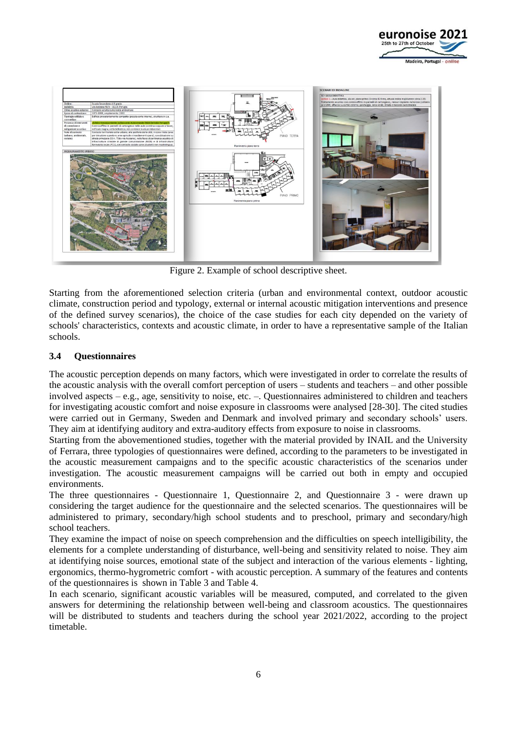



Figure 2. Example of school descriptive sheet.

Starting from the aforementioned selection criteria (urban and environmental context, outdoor acoustic climate, construction period and typology, external or internal acoustic mitigation interventions and presence of the defined survey scenarios), the choice of the case studies for each city depended on the variety of schools' characteristics, contexts and acoustic climate, in order to have a representative sample of the Italian schools.

### **3.4 Questionnaires**

The acoustic perception depends on many factors, which were investigated in order to correlate the results of the acoustic analysis with the overall comfort perception of users – students and teachers – and other possible involved aspects – e.g., age, sensitivity to noise, etc. –. Questionnaires administered to children and teachers for investigating acoustic comfort and noise exposure in classrooms were analysed [28-30]. The cited studies were carried out in Germany, Sweden and Denmark and involved primary and secondary schools' users. They aim at identifying auditory and extra-auditory effects from exposure to noise in classrooms.

Starting from the abovementioned studies, together with the material provided by INAIL and the University of Ferrara, three typologies of questionnaires were defined, according to the parameters to be investigated in the acoustic measurement campaigns and to the specific acoustic characteristics of the scenarios under investigation. The acoustic measurement campaigns will be carried out both in empty and occupied environments.

The three questionnaires - Questionnaire 1, Questionnaire 2, and Questionnaire 3 - were drawn up considering the target audience for the questionnaire and the selected scenarios. The questionnaires will be administered to primary, secondary/high school students and to preschool, primary and secondary/high school teachers.

They examine the impact of noise on speech comprehension and the difficulties on speech intelligibility, the elements for a complete understanding of disturbance, well-being and sensitivity related to noise. They aim at identifying noise sources, emotional state of the subject and interaction of the various elements - lighting, ergonomics, thermo-hygrometric comfort - with acoustic perception. A summary of the features and contents of the questionnaires is shown in Table 3 and Table 4.

In each scenario, significant acoustic variables will be measured, computed, and correlated to the given answers for determining the relationship between well-being and classroom acoustics. The questionnaires will be distributed to students and teachers during the school year 2021/2022, according to the project timetable.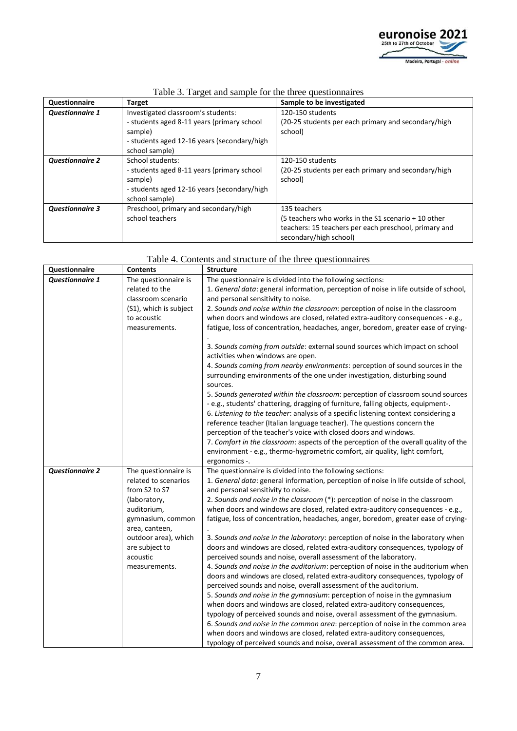

| Questionnaire                                                | Target                                      | Sample to be investigated                             |
|--------------------------------------------------------------|---------------------------------------------|-------------------------------------------------------|
| <b>Questionnaire 1</b><br>Investigated classroom's students: |                                             | 120-150 students                                      |
|                                                              | - students aged 8-11 years (primary school  | (20-25 students per each primary and secondary/high   |
|                                                              | sample)                                     | school)                                               |
|                                                              | - students aged 12-16 years (secondary/high |                                                       |
|                                                              | school sample)                              |                                                       |
| <b>Questionnaire 2</b>                                       | School students:                            | 120-150 students                                      |
|                                                              | - students aged 8-11 years (primary school  | (20-25 students per each primary and secondary/high   |
|                                                              | sample)                                     | school)                                               |
|                                                              | - students aged 12-16 years (secondary/high |                                                       |
|                                                              | school sample)                              |                                                       |
| <b>Questionnaire 3</b>                                       | Preschool, primary and secondary/high       | 135 teachers                                          |
|                                                              | school teachers                             | (5 teachers who works in the S1 scenario + 10 other   |
|                                                              |                                             | teachers: 15 teachers per each preschool, primary and |
|                                                              |                                             | secondary/high school)                                |

## Table 3. Target and sample for the three questionnaires

| Questionnaire          | <b>Contents</b>                     | <b>Structure</b>                                                                                                                                                                                                                                                                                                                                                                                           |
|------------------------|-------------------------------------|------------------------------------------------------------------------------------------------------------------------------------------------------------------------------------------------------------------------------------------------------------------------------------------------------------------------------------------------------------------------------------------------------------|
| <b>Questionnaire 1</b> | The questionnaire is                | The questionnaire is divided into the following sections:                                                                                                                                                                                                                                                                                                                                                  |
|                        | related to the                      | 1. General data: general information, perception of noise in life outside of school,                                                                                                                                                                                                                                                                                                                       |
|                        | classroom scenario                  | and personal sensitivity to noise.                                                                                                                                                                                                                                                                                                                                                                         |
|                        | (S1), which is subject              | 2. Sounds and noise within the classroom: perception of noise in the classroom                                                                                                                                                                                                                                                                                                                             |
|                        | to acoustic                         | when doors and windows are closed, related extra-auditory consequences - e.g.,                                                                                                                                                                                                                                                                                                                             |
|                        | measurements.                       | fatigue, loss of concentration, headaches, anger, boredom, greater ease of crying-                                                                                                                                                                                                                                                                                                                         |
|                        |                                     | 3. Sounds coming from outside: external sound sources which impact on school                                                                                                                                                                                                                                                                                                                               |
|                        |                                     | activities when windows are open.                                                                                                                                                                                                                                                                                                                                                                          |
|                        |                                     | 4. Sounds coming from nearby environments: perception of sound sources in the<br>surrounding environments of the one under investigation, disturbing sound<br>sources.                                                                                                                                                                                                                                     |
|                        |                                     | 5. Sounds generated within the classroom: perception of classroom sound sources<br>- e.g., students' chattering, dragging of furniture, falling objects, equipment-.<br>6. Listening to the teacher: analysis of a specific listening context considering a<br>reference teacher (Italian language teacher). The questions concern the<br>perception of the teacher's voice with closed doors and windows. |
|                        |                                     | 7. Comfort in the classroom: aspects of the perception of the overall quality of the<br>environment - e.g., thermo-hygrometric comfort, air quality, light comfort,<br>ergonomics -.                                                                                                                                                                                                                       |
| <b>Questionnaire 2</b> | The questionnaire is                | The questionnaire is divided into the following sections:                                                                                                                                                                                                                                                                                                                                                  |
|                        | related to scenarios                | 1. General data: general information, perception of noise in life outside of school,                                                                                                                                                                                                                                                                                                                       |
|                        | from S2 to S7                       | and personal sensitivity to noise.                                                                                                                                                                                                                                                                                                                                                                         |
|                        | (laboratory,                        | 2. Sounds and noise in the classroom (*): perception of noise in the classroom                                                                                                                                                                                                                                                                                                                             |
|                        | auditorium,                         | when doors and windows are closed, related extra-auditory consequences - e.g.,                                                                                                                                                                                                                                                                                                                             |
|                        | gymnasium, common<br>area, canteen, | fatigue, loss of concentration, headaches, anger, boredom, greater ease of crying-                                                                                                                                                                                                                                                                                                                         |
|                        | outdoor area), which                | 3. Sounds and noise in the laboratory: perception of noise in the laboratory when                                                                                                                                                                                                                                                                                                                          |
|                        | are subject to                      | doors and windows are closed, related extra-auditory consequences, typology of                                                                                                                                                                                                                                                                                                                             |
|                        | acoustic                            | perceived sounds and noise, overall assessment of the laboratory.                                                                                                                                                                                                                                                                                                                                          |
|                        | measurements.                       | 4. Sounds and noise in the auditorium: perception of noise in the auditorium when                                                                                                                                                                                                                                                                                                                          |
|                        |                                     | doors and windows are closed, related extra-auditory consequences, typology of                                                                                                                                                                                                                                                                                                                             |
|                        |                                     | perceived sounds and noise, overall assessment of the auditorium.                                                                                                                                                                                                                                                                                                                                          |
|                        |                                     | 5. Sounds and noise in the gymnasium: perception of noise in the gymnasium                                                                                                                                                                                                                                                                                                                                 |
|                        |                                     | when doors and windows are closed, related extra-auditory consequences,                                                                                                                                                                                                                                                                                                                                    |
|                        |                                     | typology of perceived sounds and noise, overall assessment of the gymnasium.                                                                                                                                                                                                                                                                                                                               |
|                        |                                     | 6. Sounds and noise in the common area: perception of noise in the common area                                                                                                                                                                                                                                                                                                                             |
|                        |                                     | when doors and windows are closed, related extra-auditory consequences,                                                                                                                                                                                                                                                                                                                                    |
|                        |                                     | typology of perceived sounds and noise, overall assessment of the common area.                                                                                                                                                                                                                                                                                                                             |

#### Table 4. Contents and structure of the three questionnaires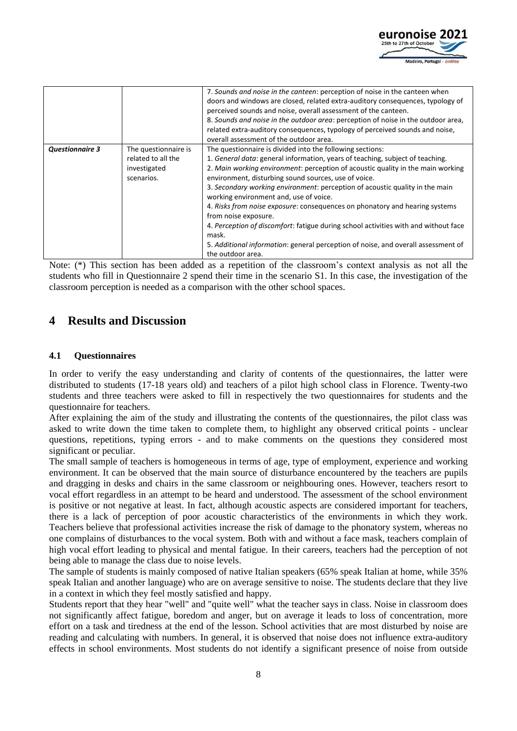

|                        |                      | 7. Sounds and noise in the canteen: perception of noise in the canteen when<br>doors and windows are closed, related extra-auditory consequences, typology of<br>perceived sounds and noise, overall assessment of the canteen.<br>8. Sounds and noise in the outdoor area: perception of noise in the outdoor area,<br>related extra-auditory consequences, typology of perceived sounds and noise,<br>overall assessment of the outdoor area. |
|------------------------|----------------------|-------------------------------------------------------------------------------------------------------------------------------------------------------------------------------------------------------------------------------------------------------------------------------------------------------------------------------------------------------------------------------------------------------------------------------------------------|
| <b>Questionnaire 3</b> | The questionnaire is | The questionnaire is divided into the following sections:                                                                                                                                                                                                                                                                                                                                                                                       |
|                        | related to all the   | 1. General data: general information, years of teaching, subject of teaching.                                                                                                                                                                                                                                                                                                                                                                   |
|                        | investigated         | 2. Main working environment: perception of acoustic quality in the main working                                                                                                                                                                                                                                                                                                                                                                 |
|                        | scenarios.           | environment, disturbing sound sources, use of voice.                                                                                                                                                                                                                                                                                                                                                                                            |
|                        |                      | 3. Secondary working environment: perception of acoustic quality in the main<br>working environment and, use of voice.                                                                                                                                                                                                                                                                                                                          |
|                        |                      | 4. Risks from noise exposure: consequences on phonatory and hearing systems                                                                                                                                                                                                                                                                                                                                                                     |
|                        |                      | from noise exposure.                                                                                                                                                                                                                                                                                                                                                                                                                            |
|                        |                      | 4. Perception of discomfort: fatigue during school activities with and without face                                                                                                                                                                                                                                                                                                                                                             |
|                        |                      | mask.                                                                                                                                                                                                                                                                                                                                                                                                                                           |
|                        |                      | 5. Additional information: general perception of noise, and overall assessment of                                                                                                                                                                                                                                                                                                                                                               |
|                        |                      | the outdoor area.                                                                                                                                                                                                                                                                                                                                                                                                                               |

Note: (\*) This section has been added as a repetition of the classroom's context analysis as not all the students who fill in Questionnaire 2 spend their time in the scenario S1. In this case, the investigation of the classroom perception is needed as a comparison with the other school spaces.

## **4 Results and Discussion**

### **4.1 Questionnaires**

In order to verify the easy understanding and clarity of contents of the questionnaires, the latter were distributed to students (17-18 years old) and teachers of a pilot high school class in Florence. Twenty-two students and three teachers were asked to fill in respectively the two questionnaires for students and the questionnaire for teachers.

After explaining the aim of the study and illustrating the contents of the questionnaires, the pilot class was asked to write down the time taken to complete them, to highlight any observed critical points - unclear questions, repetitions, typing errors - and to make comments on the questions they considered most significant or peculiar.

The small sample of teachers is homogeneous in terms of age, type of employment, experience and working environment. It can be observed that the main source of disturbance encountered by the teachers are pupils and dragging in desks and chairs in the same classroom or neighbouring ones. However, teachers resort to vocal effort regardless in an attempt to be heard and understood. The assessment of the school environment is positive or not negative at least. In fact, although acoustic aspects are considered important for teachers, there is a lack of perception of poor acoustic characteristics of the environments in which they work. Teachers believe that professional activities increase the risk of damage to the phonatory system, whereas no one complains of disturbances to the vocal system. Both with and without a face mask, teachers complain of high vocal effort leading to physical and mental fatigue. In their careers, teachers had the perception of not being able to manage the class due to noise levels.

The sample of students is mainly composed of native Italian speakers (65% speak Italian at home, while 35% speak Italian and another language) who are on average sensitive to noise. The students declare that they live in a context in which they feel mostly satisfied and happy.

Students report that they hear "well" and "quite well" what the teacher says in class. Noise in classroom does not significantly affect fatigue, boredom and anger, but on average it leads to loss of concentration, more effort on a task and tiredness at the end of the lesson. School activities that are most disturbed by noise are reading and calculating with numbers. In general, it is observed that noise does not influence extra-auditory effects in school environments. Most students do not identify a significant presence of noise from outside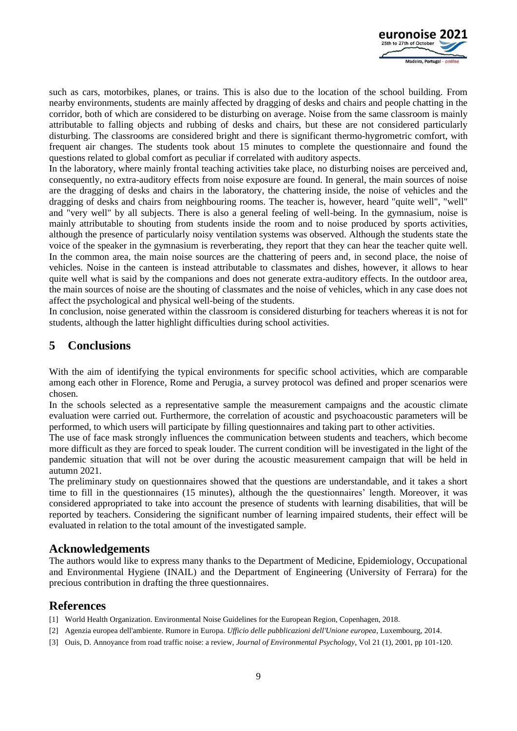

such as cars, motorbikes, planes, or trains. This is also due to the location of the school building. From nearby environments, students are mainly affected by dragging of desks and chairs and people chatting in the corridor, both of which are considered to be disturbing on average. Noise from the same classroom is mainly attributable to falling objects and rubbing of desks and chairs, but these are not considered particularly disturbing. The classrooms are considered bright and there is significant thermo-hygrometric comfort, with frequent air changes. The students took about 15 minutes to complete the questionnaire and found the questions related to global comfort as peculiar if correlated with auditory aspects.

In the laboratory, where mainly frontal teaching activities take place, no disturbing noises are perceived and, consequently, no extra-auditory effects from noise exposure are found. In general, the main sources of noise are the dragging of desks and chairs in the laboratory, the chattering inside, the noise of vehicles and the dragging of desks and chairs from neighbouring rooms. The teacher is, however, heard "quite well", "well" and "very well" by all subjects. There is also a general feeling of well-being. In the gymnasium, noise is mainly attributable to shouting from students inside the room and to noise produced by sports activities, although the presence of particularly noisy ventilation systems was observed. Although the students state the voice of the speaker in the gymnasium is reverberating, they report that they can hear the teacher quite well. In the common area, the main noise sources are the chattering of peers and, in second place, the noise of vehicles. Noise in the canteen is instead attributable to classmates and dishes, however, it allows to hear quite well what is said by the companions and does not generate extra-auditory effects. In the outdoor area, the main sources of noise are the shouting of classmates and the noise of vehicles, which in any case does not affect the psychological and physical well-being of the students.

In conclusion, noise generated within the classroom is considered disturbing for teachers whereas it is not for students, although the latter highlight difficulties during school activities.

## **5 Conclusions**

With the aim of identifying the typical environments for specific school activities, which are comparable among each other in Florence, Rome and Perugia, a survey protocol was defined and proper scenarios were chosen.

In the schools selected as a representative sample the measurement campaigns and the acoustic climate evaluation were carried out. Furthermore, the correlation of acoustic and psychoacoustic parameters will be performed, to which users will participate by filling questionnaires and taking part to other activities.

The use of face mask strongly influences the communication between students and teachers, which become more difficult as they are forced to speak louder. The current condition will be investigated in the light of the pandemic situation that will not be over during the acoustic measurement campaign that will be held in autumn 2021.

The preliminary study on questionnaires showed that the questions are understandable, and it takes a short time to fill in the questionnaires (15 minutes), although the the questionnaires' length. Moreover, it was considered appropriated to take into account the presence of students with learning disabilities, that will be reported by teachers. Considering the significant number of learning impaired students, their effect will be evaluated in relation to the total amount of the investigated sample.

## **Acknowledgements**

The authors would like to express many thanks to the Department of Medicine, Epidemiology, Occupational and Environmental Hygiene (INAIL) and the Department of Engineering (University of Ferrara) for the precious contribution in drafting the three questionnaires.

## **References**

- [1] World Health Organization. Environmental Noise Guidelines for the European Region, Copenhagen, 2018.
- [2] Agenzia europea dell'ambiente. Rumore in Europa. *Ufficio delle pubblicazioni dell'Unione europea*, Luxembourg, 2014.
- [3] Ouis, D. Annoyance from road traffic noise: a review, *Journal of Environmental Psychology*, Vol 21 (1), 2001, pp 101-120.